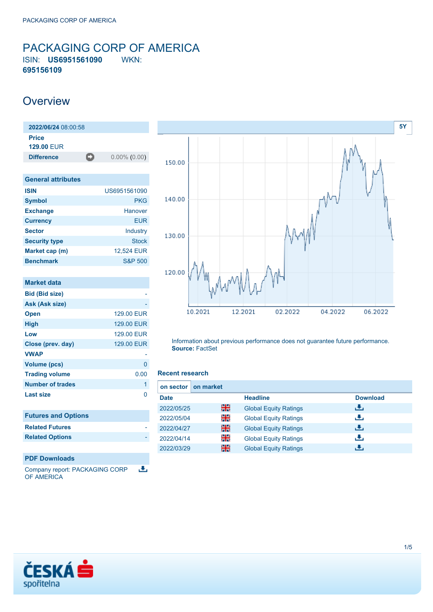### <span id="page-0-0"></span>PACKAGING CORP OF AMERICA ISIN: **US6951561090** WKN: **695156109**

### **Overview**

| 2022/06/24 08:00:58        |   |                 |
|----------------------------|---|-----------------|
| Price<br><b>129.00 EUR</b> |   |                 |
| <b>Difference</b>          | Ð | $0.00\%$ (0.00) |
|                            |   |                 |
| <b>General attributes</b>  |   |                 |
| <b>ISIN</b>                |   | US6951561090    |

| <b>Symbol</b>        | <b>PKG</b>         |
|----------------------|--------------------|
| <b>Exchange</b>      | Hanover            |
| <b>Currency</b>      | <b>EUR</b>         |
| <b>Sector</b>        | Industry           |
| <b>Security type</b> | <b>Stock</b>       |
| Market cap (m)       | 12.524 EUR         |
| <b>Benchmark</b>     | <b>S&amp;P 500</b> |

| <b>Market data</b>         |            |
|----------------------------|------------|
| <b>Bid (Bid size)</b>      |            |
| Ask (Ask size)             |            |
| <b>Open</b>                | 129.00 EUR |
| <b>High</b>                | 129.00 EUR |
| Low                        | 129.00 EUR |
| Close (prev. day)          | 129.00 EUR |
| <b>VWAP</b>                |            |
| <b>Volume (pcs)</b>        | 0          |
| <b>Trading volume</b>      | 0.00       |
| Number of trades           | 1          |
| Last size                  | O          |
|                            |            |
| <b>Futures and Options</b> |            |
| <b>Related Futures</b>     |            |
| <b>Related Options</b>     |            |
|                            |            |
| <b>PDF Downloads</b>       |            |

Company report: PACKAGING CORP رائي OF AMERICA



Information about previous performance does not guarantee future performance. **Source:** FactSet

### **Recent research**

| on sector   | on market |                              |                 |
|-------------|-----------|------------------------------|-----------------|
| <b>Date</b> |           | <b>Headline</b>              | <b>Download</b> |
| 2022/05/25  | 을중        | <b>Global Equity Ratings</b> | æ.              |
| 2022/05/04  | 꾉뚢        | <b>Global Equity Ratings</b> | æ,              |
| 2022/04/27  | 噐         | <b>Global Equity Ratings</b> | æ,              |
| 2022/04/14  | 을         | <b>Global Equity Ratings</b> | æ,              |
| 2022/03/29  | 噐         | <b>Global Equity Ratings</b> | æ,              |

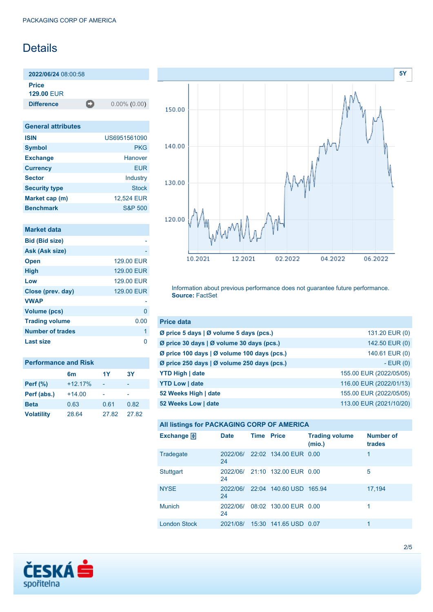# **Details**

**2022/06/24** 08:00:58

**Price**

**129.00** EUR

**Difference** 0.00% (0.00)

| <b>General attributes</b> |                    |
|---------------------------|--------------------|
| <b>ISIN</b>               | US6951561090       |
| <b>Symbol</b>             | <b>PKG</b>         |
| <b>Exchange</b>           | Hanover            |
| <b>Currency</b>           | <b>EUR</b>         |
| <b>Sector</b>             | Industry           |
| <b>Security type</b>      | <b>Stock</b>       |
| Market cap (m)            | 12,524 EUR         |
| <b>Benchmark</b>          | <b>S&amp;P 500</b> |

|  |  | <b>Market data</b> |  |
|--|--|--------------------|--|
|  |  |                    |  |

| <b>Bid (Bid size)</b>   |            |
|-------------------------|------------|
| Ask (Ask size)          |            |
| <b>Open</b>             | 129.00 FUR |
| <b>High</b>             | 129.00 EUR |
| Low                     | 129.00 EUR |
| Close (prev. day)       | 129.00 EUR |
| <b>VWAP</b>             |            |
| <b>Volume (pcs)</b>     | 0          |
| <b>Trading volume</b>   | 0.00       |
| <b>Number of trades</b> | 1          |
| Last size               |            |

| <b>Performance and Risk</b> |                |       |       |  |  |  |
|-----------------------------|----------------|-------|-------|--|--|--|
|                             | 1Y<br>3Υ<br>6m |       |       |  |  |  |
| Perf (%)                    | $+12.17%$      |       |       |  |  |  |
| Perf (abs.)                 | $+14.00$       |       |       |  |  |  |
| <b>Beta</b>                 | 0.63           | 0.61  | 0.82  |  |  |  |
| <b>Volatility</b>           | 28.64          | 27.82 | 27.82 |  |  |  |



Information about previous performance does not guarantee future performance. **Source:** FactSet

| <b>Price data</b>                           |                         |
|---------------------------------------------|-------------------------|
| Ø price 5 days   Ø volume 5 days (pcs.)     | 131.20 EUR (0)          |
| Ø price 30 days   Ø volume 30 days (pcs.)   | 142.50 EUR (0)          |
| Ø price 100 days   Ø volume 100 days (pcs.) | 140.61 EUR (0)          |
| Ø price 250 days   Ø volume 250 days (pcs.) | $-EUR(0)$               |
| <b>YTD High   date</b>                      | 155.00 EUR (2022/05/05) |
| <b>YTD Low   date</b>                       | 116.00 EUR (2022/01/13) |
| 52 Weeks High   date                        | 155.00 EUR (2022/05/05) |
| 52 Weeks Low   date                         | 113.00 EUR (2021/10/20) |

| All listings for PACKAGING CORP OF AMERICA |  |  |  |  |
|--------------------------------------------|--|--|--|--|
|--------------------------------------------|--|--|--|--|

| Exchange $\Box$     | <b>Date</b>    | <b>Time Price</b> |                                | <b>Trading volume</b><br>(mio.) | <b>Number of</b><br>trades |
|---------------------|----------------|-------------------|--------------------------------|---------------------------------|----------------------------|
| Tradegate           | 2022/06/<br>24 |                   | 22:02 134.00 EUR 0.00          |                                 | 1                          |
| <b>Stuttgart</b>    | 24             |                   | 2022/06/ 21:10 132.00 EUR 0.00 |                                 | 5                          |
| <b>NYSE</b>         | 2022/06/<br>24 |                   | 22:04 140.60 USD 165.94        |                                 | 17,194                     |
| <b>Munich</b>       | 2022/06/<br>24 |                   | 08:02 130.00 EUR 0.00          |                                 | 1                          |
| <b>London Stock</b> | 2021/08/       |                   | 15:30 141.65 USD 0.07          |                                 | 1                          |

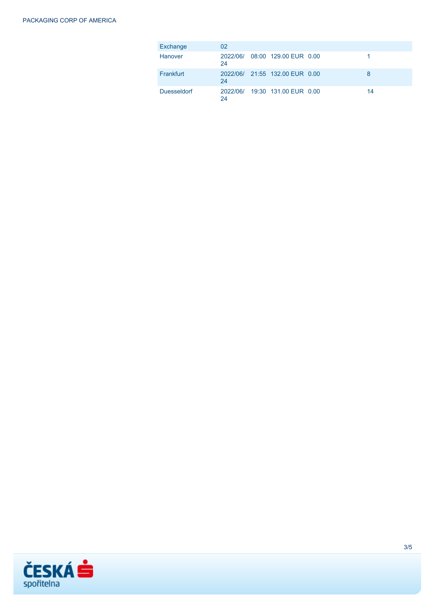| Exchange           | 02 |                                |    |
|--------------------|----|--------------------------------|----|
| Hanover            | 24 | 2022/06/ 08:00 129.00 EUR 0.00 |    |
| Frankfurt          | 24 | 2022/06/ 21:55 132.00 EUR 0.00 | 8  |
| <b>Duesseldorf</b> | 24 | 2022/06/ 19:30 131.00 EUR 0.00 | 14 |

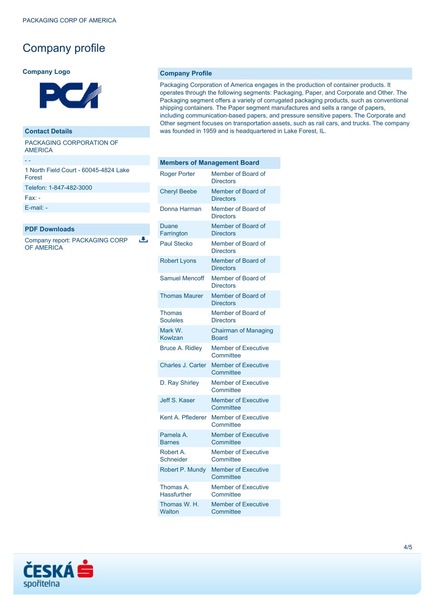# Company profile

#### **Company Logo**



#### **Contact Details**

PACKAGING CORPORATION OF AMERICA

| 1 North Field Court - 60045-4824 Lake<br>Forest |
|-------------------------------------------------|
| Telefon: 1-847-482-3000                         |
| $Fax -$                                         |

[E-mail: -](mailto:-)

- -

#### **PDF Downloads**

a, Company report: PACKAGING CORP OF AMERICA

### **Company Profile**

Packaging Corporation of America engages in the production of container products. It operates through the following segments: Packaging, Paper, and Corporate and Other. The Packaging segment offers a variety of corrugated packaging products, such as conventional shipping containers. The Paper segment manufactures and sells a range of papers, including communication-based papers, and pressure sensitive papers. The Corporate and Other segment focuses on transportation assets, such as rail cars, and trucks. The company was founded in 1959 and is headquartered in Lake Forest, IL.

| <b>Members of Management Board</b> |                                             |  |
|------------------------------------|---------------------------------------------|--|
| <b>Roger Porter</b>                | Member of Board of<br><b>Directors</b>      |  |
| <b>Cheryl Beebe</b>                | Member of Board of<br><b>Directors</b>      |  |
| Donna Harman                       | Member of Board of<br><b>Directors</b>      |  |
| Duane<br>Farrington                | Member of Board of<br><b>Directors</b>      |  |
| <b>Paul Stecko</b>                 | Member of Board of<br><b>Directors</b>      |  |
| <b>Robert Lyons</b>                | Member of Board of<br><b>Directors</b>      |  |
| <b>Samuel Mencoff</b>              | Member of Board of<br><b>Directors</b>      |  |
| <b>Thomas Maurer</b>               | Member of Board of<br><b>Directors</b>      |  |
| Thomas<br><b>Souleles</b>          | Member of Board of<br><b>Directors</b>      |  |
| Mark W.<br>Kowlzan                 | <b>Chairman of Managing</b><br><b>Board</b> |  |
| <b>Bruce A. Ridley</b>             | <b>Member of Executive</b><br>Committee     |  |
| <b>Charles J. Carter</b>           | <b>Member of Executive</b><br>Committee     |  |
| D. Ray Shirley                     | <b>Member of Executive</b><br>Committee     |  |
| Jeff S. Kaser                      | <b>Member of Executive</b><br>Committee     |  |
| Kent A. Pflederer                  | <b>Member of Executive</b><br>Committee     |  |
| Pamela A.<br><b>Barnes</b>         | <b>Member of Executive</b><br>Committee     |  |
| Robert A.<br><b>Schneider</b>      | <b>Member of Executive</b><br>Committee     |  |
| Robert P. Mundy                    | <b>Member of Executive</b><br>Committee     |  |
| Thomas A.<br><b>Hassfurther</b>    | <b>Member of Executive</b><br>Committee     |  |
| Thomas W. H.<br>Walton             | <b>Member of Executive</b><br>Committee     |  |